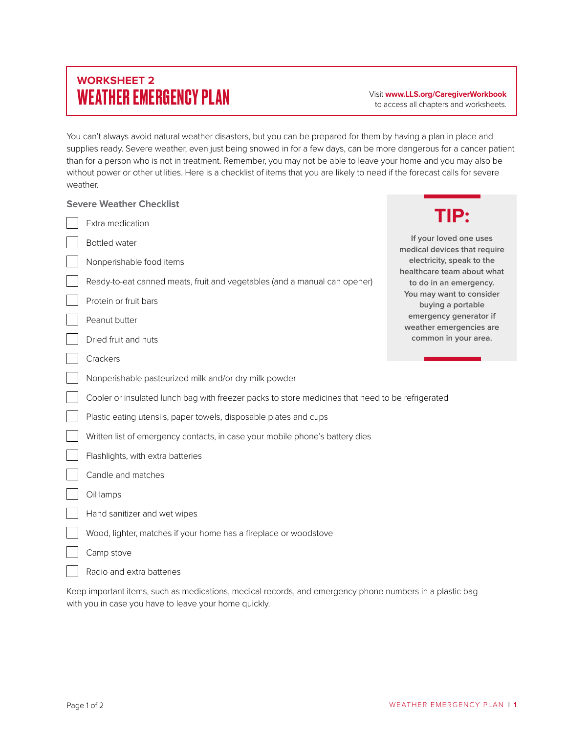## **WORKSHEET 2** WEATHER EMERGENCY PLAN Visit **www.LLS.org/CaregiverWorkbook**

to access all chapters and worksheets.

You can't always avoid natural weather disasters, but you can be prepared for them by having a plan in place and supplies ready. Severe weather, even just being snowed in for a few days, can be more dangerous for a cancer patient than for a person who is not in treatment. Remember, you may not be able to leave your home and you may also be without power or other utilities. Here is a checklist of items that you are likely to need if the forecast calls for severe weather.

| <b>Severe Weather Checklist</b> |                                                                                                  |                                                                                                                                                                                                                                                                           |
|---------------------------------|--------------------------------------------------------------------------------------------------|---------------------------------------------------------------------------------------------------------------------------------------------------------------------------------------------------------------------------------------------------------------------------|
|                                 | Extra medication                                                                                 | TIP:                                                                                                                                                                                                                                                                      |
|                                 | <b>Bottled water</b>                                                                             | If your loved one uses<br>medical devices that require<br>electricity, speak to the<br>healthcare team about what<br>to do in an emergency.<br>You may want to consider<br>buying a portable<br>emergency generator if<br>weather emergencies are<br>common in your area. |
|                                 | Nonperishable food items                                                                         |                                                                                                                                                                                                                                                                           |
|                                 | Ready-to-eat canned meats, fruit and vegetables (and a manual can opener)                        |                                                                                                                                                                                                                                                                           |
|                                 | Protein or fruit bars                                                                            |                                                                                                                                                                                                                                                                           |
|                                 | Peanut butter                                                                                    |                                                                                                                                                                                                                                                                           |
|                                 | Dried fruit and nuts                                                                             |                                                                                                                                                                                                                                                                           |
|                                 | Crackers                                                                                         |                                                                                                                                                                                                                                                                           |
|                                 | Nonperishable pasteurized milk and/or dry milk powder                                            |                                                                                                                                                                                                                                                                           |
|                                 | Cooler or insulated lunch bag with freezer packs to store medicines that need to be refrigerated |                                                                                                                                                                                                                                                                           |
|                                 | Plastic eating utensils, paper towels, disposable plates and cups                                |                                                                                                                                                                                                                                                                           |
|                                 | Written list of emergency contacts, in case your mobile phone's battery dies                     |                                                                                                                                                                                                                                                                           |
|                                 | Flashlights, with extra batteries                                                                |                                                                                                                                                                                                                                                                           |
|                                 | Candle and matches                                                                               |                                                                                                                                                                                                                                                                           |
|                                 | Oil lamps                                                                                        |                                                                                                                                                                                                                                                                           |
|                                 | Hand sanitizer and wet wipes                                                                     |                                                                                                                                                                                                                                                                           |
|                                 | Wood, lighter, matches if your home has a fireplace or woodstove                                 |                                                                                                                                                                                                                                                                           |
|                                 | Camp stove                                                                                       |                                                                                                                                                                                                                                                                           |
|                                 | Radio and extra batteries                                                                        |                                                                                                                                                                                                                                                                           |

Keep important items, such as medications, medical records, and emergency phone numbers in a plastic bag with you in case you have to leave your home quickly.